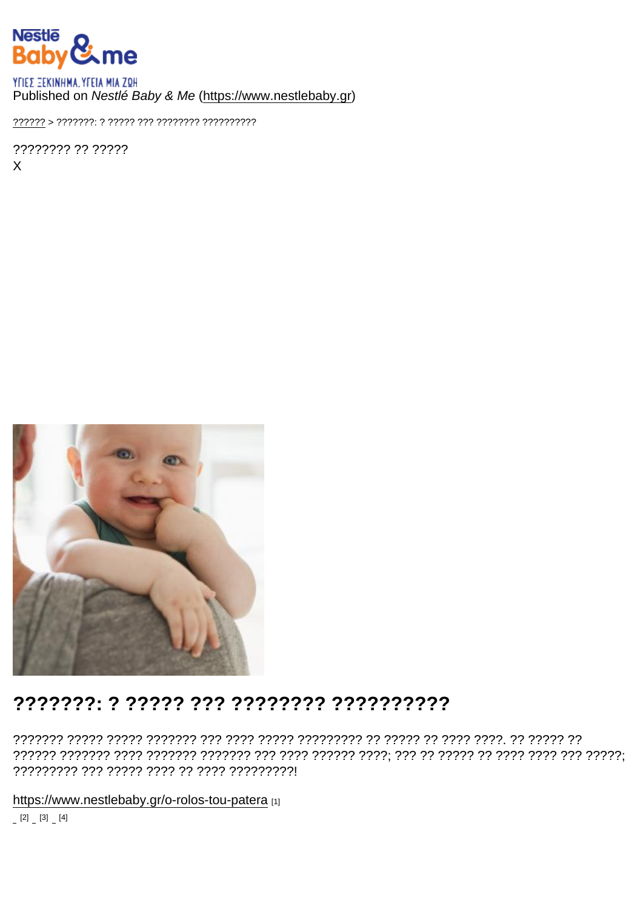### Published on Nestlé Baby & Me (https://www.nestlebaby.gr)

???????? ?? ?????  $\mathsf{X}$ 

## 

https://www.nestlebaby.gr/o-rolos-tou-patera [1]

 $[2] \quad [3] \quad [4]$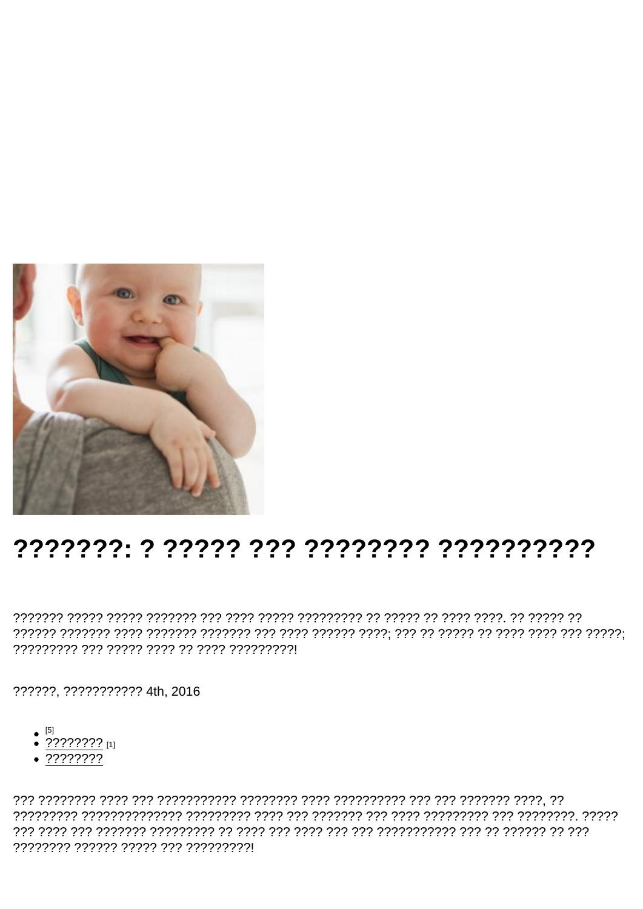# 

??????. ??????????? 4th, 2016

- 
- $\bullet$  ?????<u>???</u> [1]
- $.77777777$

???????? ?????? ????? ??? ?????????!